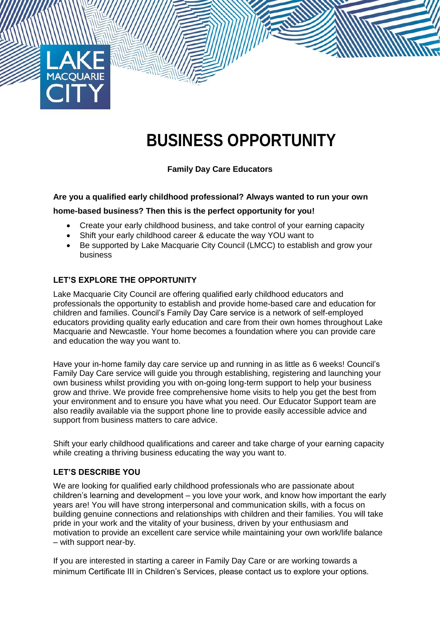

# **BUSINESS OPPORTUNITY**

**Family Day Care Educators**

# **Are you a qualified early childhood professional? Always wanted to run your own**

## **home-based business? Then this is the perfect opportunity for you!**

- Create your early childhood business, and take control of your earning capacity
- Shift your early childhood career & educate the way YOU want to
- Be supported by Lake Macquarie City Council (LMCC) to establish and grow your business

## **LET'S EXPLORE THE OPPORTUNITY**

Lake Macquarie City Council are offering qualified early childhood educators and professionals the opportunity to establish and provide home-based care and education for children and families. Council's Family Day Care service is a network of self-employed educators providing quality early education and care from their own homes throughout Lake Macquarie and Newcastle. Your home becomes a foundation where you can provide care and education the way you want to.

Have your in-home family day care service up and running in as little as 6 weeks! Council's Family Day Care service will guide you through establishing, registering and launching your own business whilst providing you with on-going long-term support to help your business grow and thrive. We provide free comprehensive home visits to help you get the best from your environment and to ensure you have what you need. Our Educator Support team are also readily available via the support phone line to provide easily accessible advice and support from business matters to care advice.

Shift your early childhood qualifications and career and take charge of your earning capacity while creating a thriving business educating the way you want to.

#### **LET'S DESCRIBE YOU**

We are looking for qualified early childhood professionals who are passionate about children's learning and development – you love your work, and know how important the early years are! You will have strong interpersonal and communication skills, with a focus on building genuine connections and relationships with children and their families. You will take pride in your work and the vitality of your business, driven by your enthusiasm and motivation to provide an excellent care service while maintaining your own work/life balance – with support near-by.

If you are interested in starting a career in Family Day Care or are working towards a minimum Certificate III in Children's Services, please contact us to explore your options.